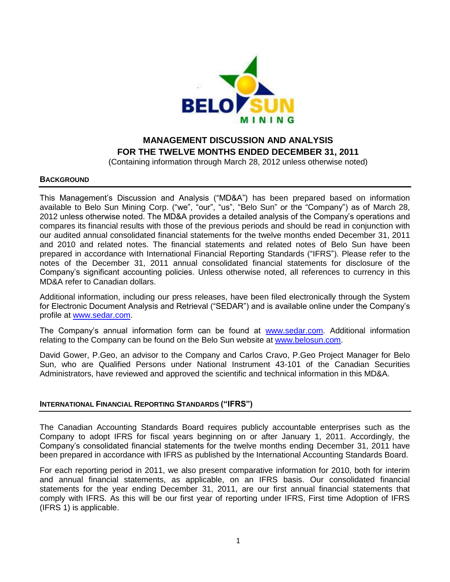

# **MANAGEMENT DISCUSSION AND ANALYSIS FOR THE TWELVE MONTHS ENDED DECEMBER 31, 2011**

(Containing information through March 28, 2012 unless otherwise noted)

### **BACKGROUND**

This Management's Discussion and Analysis ("MD&A") has been prepared based on information available to Belo Sun Mining Corp. ("we", "our", "us", "Belo Sun" or the "Company") as of March 28, 2012 unless otherwise noted. The MD&A provides a detailed analysis of the Company's operations and compares its financial results with those of the previous periods and should be read in conjunction with our audited annual consolidated financial statements for the twelve months ended December 31, 2011 and 2010 and related notes. The financial statements and related notes of Belo Sun have been prepared in accordance with International Financial Reporting Standards ("IFRS"). Please refer to the notes of the December 31, 2011 annual consolidated financial statements for disclosure of the Company's significant accounting policies. Unless otherwise noted, all references to currency in this MD&A refer to Canadian dollars.

Additional information, including our press releases, have been filed electronically through the System for Electronic Document Analysis and Retrieval ("SEDAR") and is available online under the Company's profile at [www.sedar.com.](http://www.sedar.com/)

The Company's annual information form can be found at [www.sedar.com.](http://www.sedar.com/) Additional information relating to the Company can be found on the Belo Sun website at [www.belosun.com.](http://www.belosun.com/)

David Gower, P.Geo, an advisor to the Company and Carlos Cravo, P.Geo Project Manager for Belo Sun, who are Qualified Persons under National Instrument 43-101 of the Canadian Securities Administrators, have reviewed and approved the scientific and technical information in this MD&A.

### **INTERNATIONAL FINANCIAL REPORTING STANDARDS ("IFRS")**

The Canadian Accounting Standards Board requires publicly accountable enterprises such as the Company to adopt IFRS for fiscal years beginning on or after January 1, 2011. Accordingly, the Company's consolidated financial statements for the twelve months ending December 31, 2011 have been prepared in accordance with IFRS as published by the International Accounting Standards Board.

For each reporting period in 2011, we also present comparative information for 2010, both for interim and annual financial statements, as applicable, on an IFRS basis. Our consolidated financial statements for the year ending December 31, 2011, are our first annual financial statements that comply with IFRS. As this will be our first year of reporting under IFRS, First time Adoption of IFRS (IFRS 1) is applicable.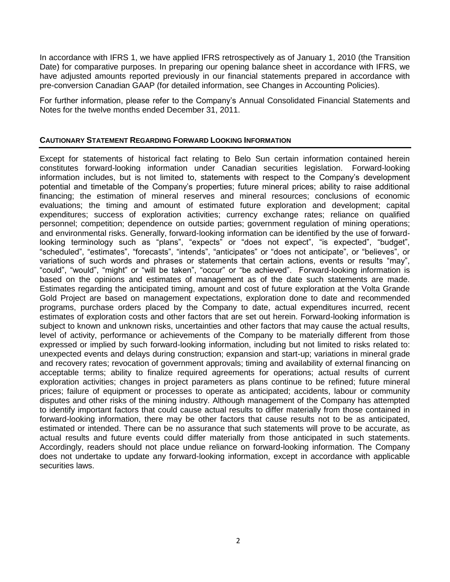In accordance with IFRS 1, we have applied IFRS retrospectively as of January 1, 2010 (the Transition Date) for comparative purposes. In preparing our opening balance sheet in accordance with IFRS, we have adjusted amounts reported previously in our financial statements prepared in accordance with pre-conversion Canadian GAAP (for detailed information, see Changes in Accounting Policies).

For further information, please refer to the Company's Annual Consolidated Financial Statements and Notes for the twelve months ended December 31, 2011.

### **CAUTIONARY STATEMENT REGARDING FORWARD LOOKING INFORMATION**

Except for statements of historical fact relating to Belo Sun certain information contained herein constitutes forward-looking information under Canadian securities legislation. Forward-looking information includes, but is not limited to, statements with respect to the Company's development potential and timetable of the Company's properties; future mineral prices; ability to raise additional financing; the estimation of mineral reserves and mineral resources; conclusions of economic evaluations; the timing and amount of estimated future exploration and development; capital expenditures; success of exploration activities; currency exchange rates; reliance on qualified personnel; competition; dependence on outside parties; government regulation of mining operations; and environmental risks. Generally, forward-looking information can be identified by the use of forwardlooking terminology such as "plans", "expects" or "does not expect", "is expected", "budget", "scheduled", "estimates", "forecasts", "intends", "anticipates" or "does not anticipate", or "believes", or variations of such words and phrases or statements that certain actions, events or results "may", "could", "would", "might" or "will be taken", "occur" or "be achieved". Forward-looking information is based on the opinions and estimates of management as of the date such statements are made. Estimates regarding the anticipated timing, amount and cost of future exploration at the Volta Grande Gold Project are based on management expectations, exploration done to date and recommended programs, purchase orders placed by the Company to date, actual expenditures incurred, recent estimates of exploration costs and other factors that are set out herein. Forward-looking information is subject to known and unknown risks, uncertainties and other factors that may cause the actual results, level of activity, performance or achievements of the Company to be materially different from those expressed or implied by such forward-looking information, including but not limited to risks related to: unexpected events and delays during construction; expansion and start-up; variations in mineral grade and recovery rates; revocation of government approvals; timing and availability of external financing on acceptable terms; ability to finalize required agreements for operations; actual results of current exploration activities; changes in project parameters as plans continue to be refined; future mineral prices; failure of equipment or processes to operate as anticipated; accidents, labour or community disputes and other risks of the mining industry. Although management of the Company has attempted to identify important factors that could cause actual results to differ materially from those contained in forward-looking information, there may be other factors that cause results not to be as anticipated, estimated or intended. There can be no assurance that such statements will prove to be accurate, as actual results and future events could differ materially from those anticipated in such statements. Accordingly, readers should not place undue reliance on forward-looking information. The Company does not undertake to update any forward-looking information, except in accordance with applicable securities laws.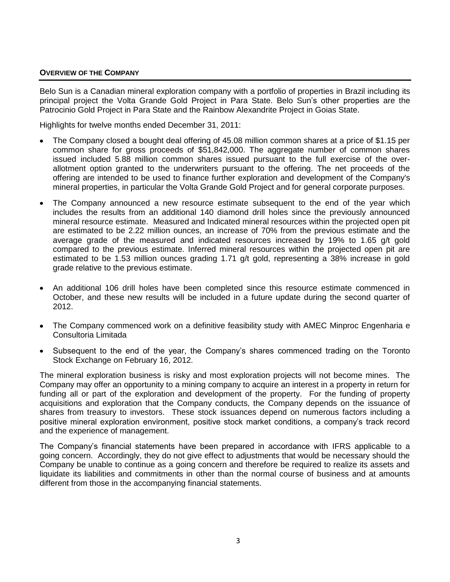### **OVERVIEW OF THE COMPANY**

Belo Sun is a Canadian mineral exploration company with a portfolio of properties in Brazil including its principal project the Volta Grande Gold Project in Para State. Belo Sun's other properties are the Patrocinio Gold Project in Para State and the Rainbow Alexandrite Project in Goias State.

Highlights for twelve months ended December 31, 2011:

- The Company closed a bought deal offering of 45.08 million common shares at a price of \$1.15 per common share for gross proceeds of \$51,842,000. The aggregate number of common shares issued included 5.88 million common shares issued pursuant to the full exercise of the overallotment option granted to the underwriters pursuant to the offering. The net proceeds of the offering are intended to be used to finance further exploration and development of the Company's mineral properties, in particular the Volta Grande Gold Project and for general corporate purposes.
- The Company announced a new resource estimate subsequent to the end of the year which  $\bullet$ includes the results from an additional 140 diamond drill holes since the previously announced mineral resource estimate. Measured and Indicated mineral resources within the projected open pit are estimated to be 2.22 million ounces, an increase of 70% from the previous estimate and the average grade of the measured and indicated resources increased by 19% to 1.65 g/t gold compared to the previous estimate. Inferred mineral resources within the projected open pit are estimated to be 1.53 million ounces grading 1.71 g/t gold, representing a 38% increase in gold grade relative to the previous estimate.
- An additional 106 drill holes have been completed since this resource estimate commenced in October, and these new results will be included in a future update during the second quarter of 2012.
- The Company commenced work on a definitive feasibility study with AMEC Minproc Engenharia e Consultoria Limitada
- Subsequent to the end of the year, the Company's shares commenced trading on the Toronto Stock Exchange on February 16, 2012.

The mineral exploration business is risky and most exploration projects will not become mines. The Company may offer an opportunity to a mining company to acquire an interest in a property in return for funding all or part of the exploration and development of the property. For the funding of property acquisitions and exploration that the Company conducts, the Company depends on the issuance of shares from treasury to investors. These stock issuances depend on numerous factors including a positive mineral exploration environment, positive stock market conditions, a company's track record and the experience of management.

The Company's financial statements have been prepared in accordance with IFRS applicable to a going concern. Accordingly, they do not give effect to adjustments that would be necessary should the Company be unable to continue as a going concern and therefore be required to realize its assets and liquidate its liabilities and commitments in other than the normal course of business and at amounts different from those in the accompanying financial statements.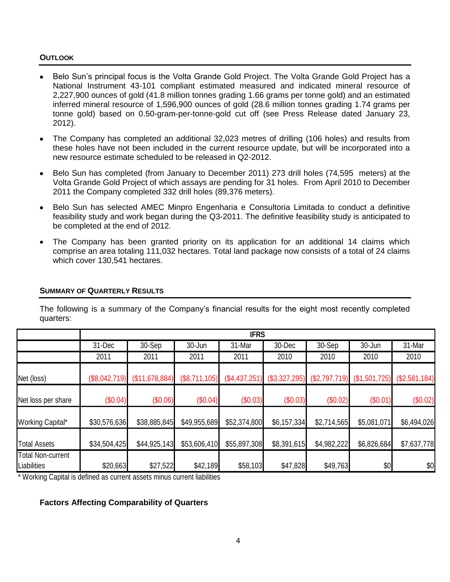### **OUTLOOK**

- Belo Sun's principal focus is the Volta Grande Gold Project. The Volta Grande Gold Project has a National Instrument 43-101 compliant estimated measured and indicated mineral resource of 2,227,900 ounces of gold (41.8 million tonnes grading 1.66 grams per tonne gold) and an estimated inferred mineral resource of 1,596,900 ounces of gold (28.6 million tonnes grading 1.74 grams per tonne gold) based on 0.50-gram-per-tonne-gold cut off (see Press Release dated January 23, 2012).
- The Company has completed an additional 32,023 metres of drilling (106 holes) and results from these holes have not been included in the current resource update, but will be incorporated into a new resource estimate scheduled to be released in Q2-2012.
- Belo Sun has completed (from January to December 2011) 273 drill holes (74,595 meters) at the Volta Grande Gold Project of which assays are pending for 31 holes. From April 2010 to December 2011 the Company completed 332 drill holes (89,376 meters).
- Belo Sun has selected AMEC Minpro Engenharia e Consultoria Limitada to conduct a definitive feasibility study and work began during the Q3-2011. The definitive feasibility study is anticipated to be completed at the end of 2012.
- The Company has been granted priority on its application for an additional 14 claims which comprise an area totaling 111,032 hectares. Total land package now consists of a total of 24 claims which cover 130,541 hectares.

## **SUMMARY OF QUARTERLY RESULTS**

The following is a summary of the Company's financial results for the eight most recently completed quarters:

|                                                |               |                |               | <b>IFRS</b>   |                 |                 |               |               |
|------------------------------------------------|---------------|----------------|---------------|---------------|-----------------|-----------------|---------------|---------------|
|                                                | 31-Dec        | 30-Sep         | 30-Jun        | 31-Mar        | 30-Dec          | 30-Sep          | 30-Jun        | 31-Mar        |
|                                                | 2011          | 2011           | 2011          | 2011          | 2010            | 2010            | 2010          | 2010          |
| Net (loss)                                     | (\$8,042,719) | (\$11,678,884) | (\$8,711,105) | (\$4,437,251) | $(\$3,327,295)$ | $(\$2,797,719)$ | (\$1,501,725) | (\$2,581,184) |
| Net loss per share                             | (\$0.04)      | (\$0.06)       | (\$0.04)      | (\$0.03)      | (\$0.03)        | (\$0.02)        | (\$0.01)      | (\$0.02)      |
| <b>Working Capital*</b>                        | \$30,576,636  | \$38,885,845   | \$49,955,689  | \$52,374,800  | \$6,157,334     | \$2,714,565     | \$5,081,071   | \$6,494,026   |
| <b>Total Assets</b>                            | \$34,504,425  | \$44,925,143   | \$53,606,410  | \$55,897,308  | \$8,391,615     | \$4,982,222     | \$6,826,684   | \$7,637,778   |
| <b>Total Non-current</b><br><b>Liabilities</b> | \$20,663      | \$27,522       | \$42,189      | \$58,103      | \$47,828        | \$49,763        | \$0           | \$0           |

\* Working Capital is defined as current assets minus current liabilities

# **Factors Affecting Comparability of Quarters**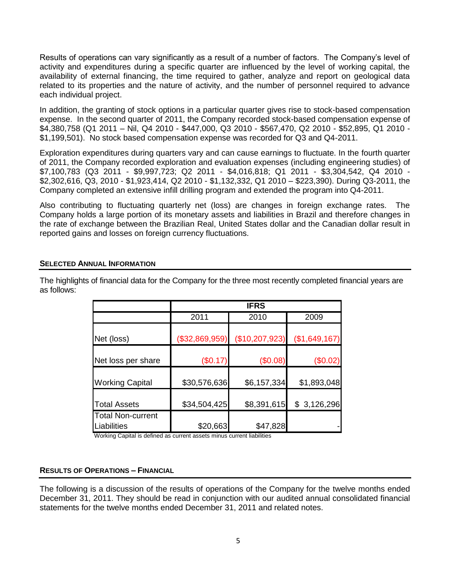Results of operations can vary significantly as a result of a number of factors. The Company's level of activity and expenditures during a specific quarter are influenced by the level of working capital, the availability of external financing, the time required to gather, analyze and report on geological data related to its properties and the nature of activity, and the number of personnel required to advance each individual project.

In addition, the granting of stock options in a particular quarter gives rise to stock-based compensation expense. In the second quarter of 2011, the Company recorded stock-based compensation expense of \$4,380,758 (Q1 2011 – Nil, Q4 2010 - \$447,000, Q3 2010 - \$567,470, Q2 2010 - \$52,895, Q1 2010 - \$1,199,501). No stock based compensation expense was recorded for Q3 and Q4-2011.

Exploration expenditures during quarters vary and can cause earnings to fluctuate. In the fourth quarter of 2011, the Company recorded exploration and evaluation expenses (including engineering studies) of \$7,100,783 (Q3 2011 - \$9,997,723; Q2 2011 - \$4,016,818; Q1 2011 - \$3,304,542, Q4 2010 - \$2,302,616, Q3, 2010 - \$1,923,414, Q2 2010 - \$1,132,332, Q1 2010 – \$223,390). During Q3-2011, the Company completed an extensive infill drilling program and extended the program into Q4-2011.

Also contributing to fluctuating quarterly net (loss) are changes in foreign exchange rates. The Company holds a large portion of its monetary assets and liabilities in Brazil and therefore changes in the rate of exchange between the Brazilian Real, United States dollar and the Canadian dollar result in reported gains and losses on foreign currency fluctuations.

## **SELECTED ANNUAL INFORMATION**

The highlights of financial data for the Company for the three most recently completed financial years are as follows:

|                                         |                | <b>IFRS</b>    |               |
|-----------------------------------------|----------------|----------------|---------------|
|                                         | 2011           | 2010           | 2009          |
| Net (loss)                              | (\$32,869,959) | (\$10,207,923) | (\$1,649,167) |
| Net loss per share                      | (\$0.17)       | (\$0.08)       | (\$0.02)      |
| <b>Working Capital</b>                  | \$30,576,636   | \$6,157,334    | \$1,893,048   |
| <b>Total Assets</b>                     | \$34,504,425   | \$8,391,615    | \$3,126,296   |
| <b>Total Non-current</b><br>Liabilities | \$20,663       | \$47,828       |               |

Working Capital is defined as current assets minus current liabilities

### **RESULTS OF OPERATIONS – FINANCIAL**

The following is a discussion of the results of operations of the Company for the twelve months ended December 31, 2011. They should be read in conjunction with our audited annual consolidated financial statements for the twelve months ended December 31, 2011 and related notes.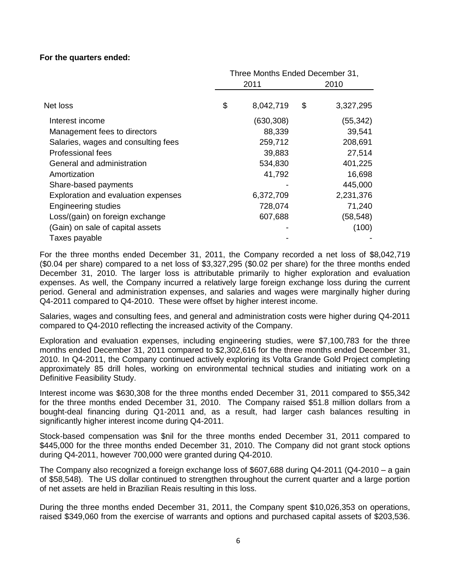## **For the quarters ended:**

|                                     | Three Months Ended December 31, |      |           |  |
|-------------------------------------|---------------------------------|------|-----------|--|
|                                     | 2011                            | 2010 |           |  |
| Net loss                            | \$<br>8,042,719                 | \$   | 3,327,295 |  |
| Interest income                     | (630, 308)                      |      | (55,342)  |  |
| Management fees to directors        | 88,339                          |      | 39,541    |  |
| Salaries, wages and consulting fees | 259,712                         |      | 208,691   |  |
| Professional fees                   | 39,883                          |      | 27,514    |  |
| General and administration          | 534,830                         |      | 401,225   |  |
| Amortization                        | 41,792                          |      | 16,698    |  |
| Share-based payments                |                                 |      | 445,000   |  |
| Exploration and evaluation expenses | 6,372,709                       |      | 2,231,376 |  |
| <b>Engineering studies</b>          | 728,074                         |      | 71,240    |  |
| Loss/(gain) on foreign exchange     | 607,688                         |      | (58, 548) |  |
| (Gain) on sale of capital assets    |                                 |      | (100)     |  |
| Taxes payable                       |                                 |      |           |  |

For the three months ended December 31, 2011, the Company recorded a net loss of \$8,042,719 (\$0.04 per share) compared to a net loss of \$3,327,295 (\$0.02 per share) for the three months ended December 31, 2010. The larger loss is attributable primarily to higher exploration and evaluation expenses. As well, the Company incurred a relatively large foreign exchange loss during the current period. General and administration expenses, and salaries and wages were marginally higher during Q4-2011 compared to Q4-2010. These were offset by higher interest income.

Salaries, wages and consulting fees, and general and administration costs were higher during Q4-2011 compared to Q4-2010 reflecting the increased activity of the Company.

Exploration and evaluation expenses, including engineering studies, were \$7,100,783 for the three months ended December 31, 2011 compared to \$2,302,616 for the three months ended December 31, 2010. In Q4-2011, the Company continued actively exploring its Volta Grande Gold Project completing approximately 85 drill holes, working on environmental technical studies and initiating work on a Definitive Feasibility Study.

Interest income was \$630,308 for the three months ended December 31, 2011 compared to \$55,342 for the three months ended December 31, 2010. The Company raised \$51.8 million dollars from a bought-deal financing during Q1-2011 and, as a result, had larger cash balances resulting in significantly higher interest income during Q4-2011.

Stock-based compensation was \$nil for the three months ended December 31, 2011 compared to \$445,000 for the three months ended December 31, 2010. The Company did not grant stock options during Q4-2011, however 700,000 were granted during Q4-2010.

The Company also recognized a foreign exchange loss of \$607,688 during Q4-2011 (Q4-2010 – a gain of \$58,548). The US dollar continued to strengthen throughout the current quarter and a large portion of net assets are held in Brazilian Reais resulting in this loss.

During the three months ended December 31, 2011, the Company spent \$10,026,353 on operations, raised \$349,060 from the exercise of warrants and options and purchased capital assets of \$203,536.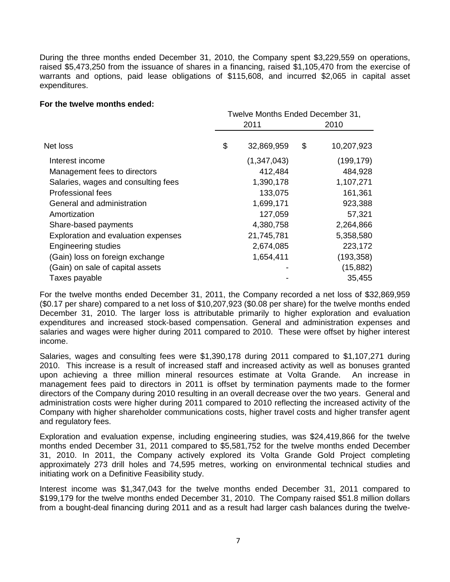During the three months ended December 31, 2010, the Company spent \$3,229,559 on operations, raised \$5,473,250 from the issuance of shares in a financing, raised \$1,105,470 from the exercise of warrants and options, paid lease obligations of \$115,608, and incurred \$2,065 in capital asset expenditures.

### **For the twelve months ended:**

|                                     | Twelve Months Ended December 31, |    |            |  |  |
|-------------------------------------|----------------------------------|----|------------|--|--|
|                                     | 2011                             |    | 2010       |  |  |
| Net loss                            | \$<br>32,869,959                 | \$ | 10,207,923 |  |  |
| Interest income                     | (1,347,043)                      |    | (199, 179) |  |  |
| Management fees to directors        | 412,484                          |    | 484,928    |  |  |
| Salaries, wages and consulting fees | 1,390,178                        |    | 1,107,271  |  |  |
| Professional fees                   | 133,075                          |    | 161,361    |  |  |
| General and administration          | 1,699,171                        |    | 923,388    |  |  |
| Amortization                        | 127,059                          |    | 57,321     |  |  |
| Share-based payments                | 4,380,758                        |    | 2,264,866  |  |  |
| Exploration and evaluation expenses | 21,745,781                       |    | 5,358,580  |  |  |
| <b>Engineering studies</b>          | 2,674,085                        |    | 223,172    |  |  |
| (Gain) loss on foreign exchange     | 1,654,411                        |    | (193, 358) |  |  |
| (Gain) on sale of capital assets    |                                  |    | (15, 882)  |  |  |
| Taxes payable                       |                                  |    | 35,455     |  |  |

For the twelve months ended December 31, 2011, the Company recorded a net loss of \$32,869,959 (\$0.17 per share) compared to a net loss of \$10,207,923 (\$0.08 per share) for the twelve months ended December 31, 2010. The larger loss is attributable primarily to higher exploration and evaluation expenditures and increased stock-based compensation. General and administration expenses and salaries and wages were higher during 2011 compared to 2010. These were offset by higher interest income.

Salaries, wages and consulting fees were \$1,390,178 during 2011 compared to \$1,107,271 during 2010. This increase is a result of increased staff and increased activity as well as bonuses granted upon achieving a three million mineral resources estimate at Volta Grande. An increase in management fees paid to directors in 2011 is offset by termination payments made to the former directors of the Company during 2010 resulting in an overall decrease over the two years. General and administration costs were higher during 2011 compared to 2010 reflecting the increased activity of the Company with higher shareholder communications costs, higher travel costs and higher transfer agent and regulatory fees.

Exploration and evaluation expense, including engineering studies, was \$24,419,866 for the twelve months ended December 31, 2011 compared to \$5,581,752 for the twelve months ended December 31, 2010. In 2011, the Company actively explored its Volta Grande Gold Project completing approximately 273 drill holes and 74,595 metres, working on environmental technical studies and initiating work on a Definitive Feasibility study.

Interest income was \$1,347,043 for the twelve months ended December 31, 2011 compared to \$199,179 for the twelve months ended December 31, 2010. The Company raised \$51.8 million dollars from a bought-deal financing during 2011 and as a result had larger cash balances during the twelve-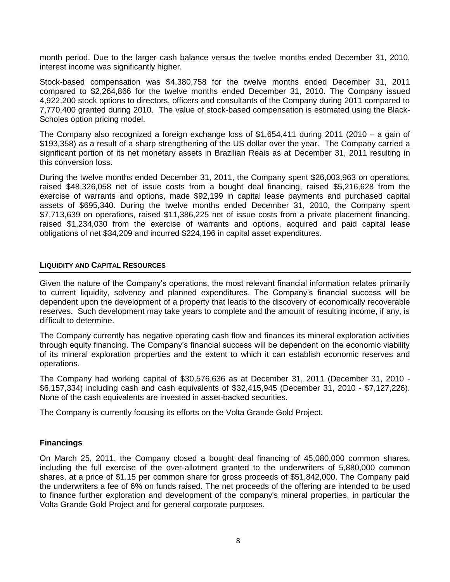month period. Due to the larger cash balance versus the twelve months ended December 31, 2010, interest income was significantly higher.

Stock-based compensation was \$4,380,758 for the twelve months ended December 31, 2011 compared to \$2,264,866 for the twelve months ended December 31, 2010. The Company issued 4,922,200 stock options to directors, officers and consultants of the Company during 2011 compared to 7,770,400 granted during 2010. The value of stock-based compensation is estimated using the Black-Scholes option pricing model.

The Company also recognized a foreign exchange loss of \$1,654,411 during 2011 (2010 – a gain of \$193,358) as a result of a sharp strengthening of the US dollar over the year. The Company carried a significant portion of its net monetary assets in Brazilian Reais as at December 31, 2011 resulting in this conversion loss.

During the twelve months ended December 31, 2011, the Company spent \$26,003,963 on operations, raised \$48,326,058 net of issue costs from a bought deal financing, raised \$5,216,628 from the exercise of warrants and options, made \$92,199 in capital lease payments and purchased capital assets of \$695,340. During the twelve months ended December 31, 2010, the Company spent \$7,713,639 on operations, raised \$11,386,225 net of issue costs from a private placement financing, raised \$1,234,030 from the exercise of warrants and options, acquired and paid capital lease obligations of net \$34,209 and incurred \$224,196 in capital asset expenditures.

#### **LIQUIDITY AND CAPITAL RESOURCES**

Given the nature of the Company's operations, the most relevant financial information relates primarily to current liquidity, solvency and planned expenditures. The Company's financial success will be dependent upon the development of a property that leads to the discovery of economically recoverable reserves. Such development may take years to complete and the amount of resulting income, if any, is difficult to determine.

The Company currently has negative operating cash flow and finances its mineral exploration activities through equity financing. The Company's financial success will be dependent on the economic viability of its mineral exploration properties and the extent to which it can establish economic reserves and operations.

The Company had working capital of \$30,576,636 as at December 31, 2011 (December 31, 2010 - \$6,157,334) including cash and cash equivalents of \$32,415,945 (December 31, 2010 - \$7,127,226). None of the cash equivalents are invested in asset-backed securities.

The Company is currently focusing its efforts on the Volta Grande Gold Project.

### **Financings**

On March 25, 2011, the Company closed a bought deal financing of 45,080,000 common shares, including the full exercise of the over-allotment granted to the underwriters of 5,880,000 common shares, at a price of \$1.15 per common share for gross proceeds of \$51,842,000. The Company paid the underwriters a fee of 6% on funds raised. The net proceeds of the offering are intended to be used to finance further exploration and development of the company's mineral properties, in particular the Volta Grande Gold Project and for general corporate purposes.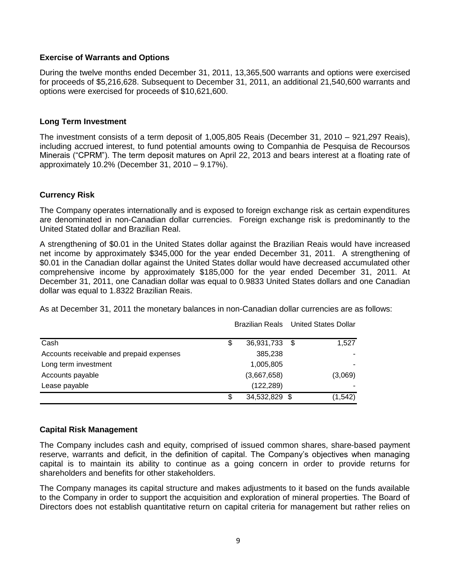## **Exercise of Warrants and Options**

During the twelve months ended December 31, 2011, 13,365,500 warrants and options were exercised for proceeds of \$5,216,628. Subsequent to December 31, 2011, an additional 21,540,600 warrants and options were exercised for proceeds of \$10,621,600.

## **Long Term Investment**

The investment consists of a term deposit of 1,005,805 Reais (December 31, 2010 – 921,297 Reais), including accrued interest, to fund potential amounts owing to Companhia de Pesquisa de Recoursos Minerais ("CPRM"). The term deposit matures on April 22, 2013 and bears interest at a floating rate of approximately 10.2% (December 31, 2010 – 9.17%).

## **Currency Risk**

The Company operates internationally and is exposed to foreign exchange risk as certain expenditures are denominated in non-Canadian dollar currencies. Foreign exchange risk is predominantly to the United Stated dollar and Brazilian Real.

A strengthening of \$0.01 in the United States dollar against the Brazilian Reais would have increased net income by approximately \$345,000 for the year ended December 31, 2011. A strengthening of \$0.01 in the Canadian dollar against the United States dollar would have decreased accumulated other comprehensive income by approximately \$185,000 for the year ended December 31, 2011. At December 31, 2011, one Canadian dollar was equal to 0.9833 United States dollars and one Canadian dollar was equal to 1.8322 Brazilian Reais.

As at December 31, 2011 the monetary balances in non-Canadian dollar currencies are as follows:

|                                          |    |               | <b>Brazilian Reals</b> United States Dollar |
|------------------------------------------|----|---------------|---------------------------------------------|
| Cash                                     | \$ | 36,931,733 \$ | 1.527                                       |
| Accounts receivable and prepaid expenses |    | 385,238       |                                             |
| Long term investment                     |    | 1,005,805     |                                             |
| Accounts payable                         |    | (3,667,658)   | (3,069)                                     |
| Lease payable                            |    | (122, 289)    |                                             |
|                                          | S  | 34,532,829 \$ | (1, 542)                                    |

# **Capital Risk Management**

The Company includes cash and equity, comprised of issued common shares, share-based payment reserve, warrants and deficit, in the definition of capital. The Company's objectives when managing capital is to maintain its ability to continue as a going concern in order to provide returns for shareholders and benefits for other stakeholders.

The Company manages its capital structure and makes adjustments to it based on the funds available to the Company in order to support the acquisition and exploration of mineral properties. The Board of Directors does not establish quantitative return on capital criteria for management but rather relies on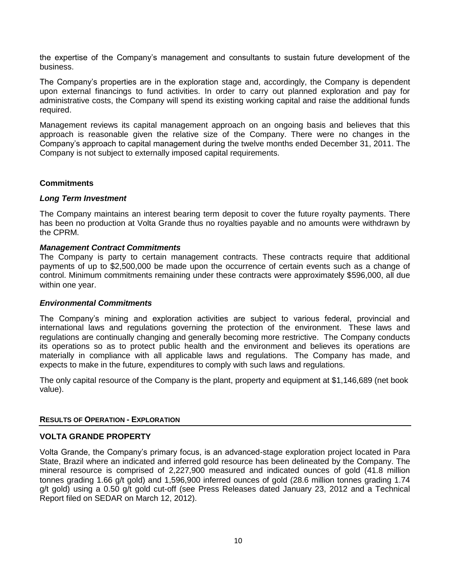the expertise of the Company's management and consultants to sustain future development of the business.

The Company's properties are in the exploration stage and, accordingly, the Company is dependent upon external financings to fund activities. In order to carry out planned exploration and pay for administrative costs, the Company will spend its existing working capital and raise the additional funds required.

Management reviews its capital management approach on an ongoing basis and believes that this approach is reasonable given the relative size of the Company. There were no changes in the Company's approach to capital management during the twelve months ended December 31, 2011. The Company is not subject to externally imposed capital requirements.

## **Commitments**

### *Long Term Investment*

The Company maintains an interest bearing term deposit to cover the future royalty payments. There has been no production at Volta Grande thus no royalties payable and no amounts were withdrawn by the CPRM.

## *Management Contract Commitments*

The Company is party to certain management contracts. These contracts require that additional payments of up to \$2,500,000 be made upon the occurrence of certain events such as a change of control. Minimum commitments remaining under these contracts were approximately \$596,000, all due within one year.

### *Environmental Commitments*

The Company's mining and exploration activities are subject to various federal, provincial and international laws and regulations governing the protection of the environment. These laws and regulations are continually changing and generally becoming more restrictive. The Company conducts its operations so as to protect public health and the environment and believes its operations are materially in compliance with all applicable laws and regulations. The Company has made, and expects to make in the future, expenditures to comply with such laws and regulations.

The only capital resource of the Company is the plant, property and equipment at \$1,146,689 (net book value).

### **RESULTS OF OPERATION - EXPLORATION**

# **VOLTA GRANDE PROPERTY**

Volta Grande, the Company's primary focus, is an advanced-stage exploration project located in Para State, Brazil where an indicated and inferred gold resource has been delineated by the Company. The mineral resource is comprised of 2,227,900 measured and indicated ounces of gold (41.8 million tonnes grading 1.66 g/t gold) and 1,596,900 inferred ounces of gold (28.6 million tonnes grading 1.74 g/t gold) using a 0.50 g/t gold cut-off (see Press Releases dated January 23, 2012 and a Technical Report filed on SEDAR on March 12, 2012).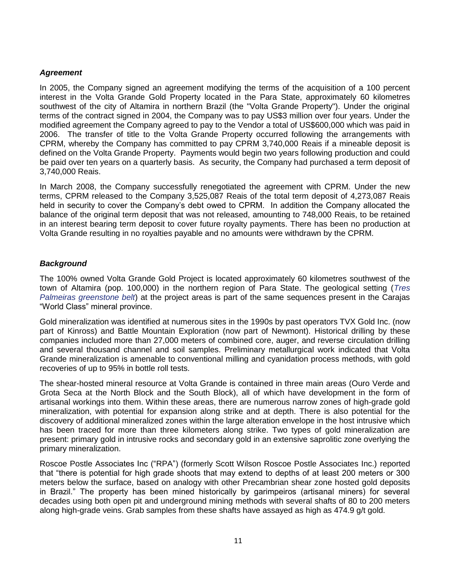# *Agreement*

In 2005, the Company signed an agreement modifying the terms of the acquisition of a 100 percent interest in the Volta Grande Gold Property located in the Para State, approximately 60 kilometres southwest of the city of Altamira in northern Brazil (the "Volta Grande Property"). Under the original terms of the contract signed in 2004, the Company was to pay US\$3 million over four years. Under the modified agreement the Company agreed to pay to the Vendor a total of US\$600,000 which was paid in 2006. The transfer of title to the Volta Grande Property occurred following the arrangements with CPRM, whereby the Company has committed to pay CPRM 3,740,000 Reais if a mineable deposit is defined on the Volta Grande Property. Payments would begin two years following production and could be paid over ten years on a quarterly basis. As security, the Company had purchased a term deposit of 3,740,000 Reais.

In March 2008, the Company successfully renegotiated the agreement with CPRM. Under the new terms, CPRM released to the Company 3,525,087 Reais of the total term deposit of 4,273,087 Reais held in security to cover the Company's debt owed to CPRM. In addition the Company allocated the balance of the original term deposit that was not released, amounting to 748,000 Reais, to be retained in an interest bearing term deposit to cover future royalty payments. There has been no production at Volta Grande resulting in no royalties payable and no amounts were withdrawn by the CPRM.

## *Background*

The 100% owned Volta Grande Gold Project is located approximately 60 kilometres southwest of the town of Altamira (pop. 100,000) in the northern region of Para State. The geological setting (*Tres Palmeiras greenstone belt*) at the project areas is part of the same sequences present in the Carajas "World Class" mineral province.

Gold mineralization was identified at numerous sites in the 1990s by past operators TVX Gold Inc. (now part of Kinross) and Battle Mountain Exploration (now part of Newmont). Historical drilling by these companies included more than 27,000 meters of combined core, auger, and reverse circulation drilling and several thousand channel and soil samples. Preliminary metallurgical work indicated that Volta Grande mineralization is amenable to conventional milling and cyanidation process methods, with gold recoveries of up to 95% in bottle roll tests.

The shear-hosted mineral resource at Volta Grande is contained in three main areas (Ouro Verde and Grota Seca at the North Block and the South Block), all of which have development in the form of artisanal workings into them. Within these areas, there are numerous narrow zones of high-grade gold mineralization, with potential for expansion along strike and at depth. There is also potential for the discovery of additional mineralized zones within the large alteration envelope in the host intrusive which has been traced for more than three kilometers along strike. Two types of gold mineralization are present: primary gold in intrusive rocks and secondary gold in an extensive saprolitic zone overlying the primary mineralization.

Roscoe Postle Associates Inc ("RPA") (formerly Scott Wilson Roscoe Postle Associates Inc.) reported that "there is potential for high grade shoots that may extend to depths of at least 200 meters or 300 meters below the surface, based on analogy with other Precambrian shear zone hosted gold deposits in Brazil." The property has been mined historically by garimpeiros (artisanal miners) for several decades using both open pit and underground mining methods with several shafts of 80 to 200 meters along high-grade veins. Grab samples from these shafts have assayed as high as 474.9 g/t gold.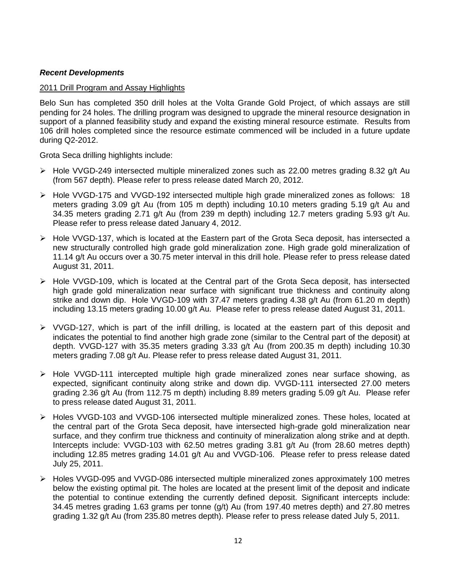## *Recent Developments*

### 2011 Drill Program and Assay Highlights

Belo Sun has completed 350 drill holes at the Volta Grande Gold Project, of which assays are still pending for 24 holes. The drilling program was designed to upgrade the mineral resource designation in support of a planned feasibility study and expand the existing mineral resource estimate. Results from 106 drill holes completed since the resource estimate commenced will be included in a future update during Q2-2012.

Grota Seca drilling highlights include:

- $\triangleright$  Hole VVGD-249 intersected multiple mineralized zones such as 22.00 metres grading 8.32 g/t Au (from 567 depth). Please refer to press release dated March 20, 2012.
- Hole VVGD-175 and VVGD-192 intersected multiple high grade mineralized zones as follows: 18 meters grading 3.09 g/t Au (from 105 m depth) including 10.10 meters grading 5.19 g/t Au and 34.35 meters grading 2.71 g/t Au (from 239 m depth) including 12.7 meters grading 5.93 g/t Au. Please refer to press release dated January 4, 2012.
- $\triangleright$  Hole VVGD-137, which is located at the Eastern part of the Grota Seca deposit, has intersected a new structurally controlled high grade gold mineralization zone. High grade gold mineralization of 11.14 g/t Au occurs over a 30.75 meter interval in this drill hole. Please refer to press release dated August 31, 2011.
- $\triangleright$  Hole VVGD-109, which is located at the Central part of the Grota Seca deposit, has intersected high grade gold mineralization near surface with significant true thickness and continuity along strike and down dip. Hole VVGD-109 with 37.47 meters grading 4.38 g/t Au (from 61.20 m depth) including 13.15 meters grading 10.00 g/t Au. Please refer to press release dated August 31, 2011.
- $\triangleright$  VVGD-127, which is part of the infill drilling, is located at the eastern part of this deposit and indicates the potential to find another high grade zone (similar to the Central part of the deposit) at depth. VVGD-127 with 35.35 meters grading 3.33 g/t Au (from 200.35 m depth) including 10.30 meters grading 7.08 g/t Au. Please refer to press release dated August 31, 2011.
- $\triangleright$  Hole VVGD-111 intercepted multiple high grade mineralized zones near surface showing, as expected, significant continuity along strike and down dip. VVGD-111 intersected 27.00 meters grading 2.36 g/t Au (from 112.75 m depth) including 8.89 meters grading 5.09 g/t Au. Please refer to press release dated August 31, 2011.
- Holes VVGD-103 and VVGD-106 intersected multiple mineralized zones. These holes, located at the central part of the Grota Seca deposit, have intersected high-grade gold mineralization near surface, and they confirm true thickness and continuity of mineralization along strike and at depth. Intercepts include: VVGD-103 with 62.50 metres grading 3.81 g/t Au (from 28.60 metres depth) including 12.85 metres grading 14.01 g/t Au and VVGD-106. Please refer to press release dated July 25, 2011.
- Holes VVGD-095 and VVGD-086 intersected multiple mineralized zones approximately 100 metres below the existing optimal pit. The holes are located at the present limit of the deposit and indicate the potential to continue extending the currently defined deposit. Significant intercepts include: 34.45 metres grading 1.63 grams per tonne (g/t) Au (from 197.40 metres depth) and 27.80 metres grading 1.32 g/t Au (from 235.80 metres depth). Please refer to press release dated July 5, 2011.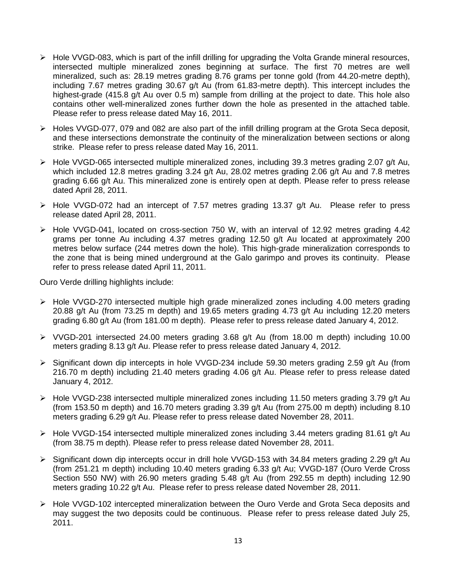- $\triangleright$  Hole VVGD-083, which is part of the infill drilling for upgrading the Volta Grande mineral resources, intersected multiple mineralized zones beginning at surface. The first 70 metres are well mineralized, such as: 28.19 metres grading 8.76 grams per tonne gold (from 44.20-metre depth), including 7.67 metres grading 30.67 g/t Au (from 61.83-metre depth). This intercept includes the highest-grade (415.8 g/t Au over 0.5 m) sample from drilling at the project to date. This hole also contains other well-mineralized zones further down the hole as presented in the attached table. Please refer to press release dated May 16, 2011.
- Holes VVGD-077, 079 and 082 are also part of the infill drilling program at the Grota Seca deposit, and these intersections demonstrate the continuity of the mineralization between sections or along strike. Please refer to press release dated May 16, 2011.
- $\triangleright$  Hole VVGD-065 intersected multiple mineralized zones, including 39.3 metres grading 2.07 g/t Au, which included 12.8 metres grading 3.24 g/t Au, 28.02 metres grading 2.06 g/t Au and 7.8 metres grading 6.66 g/t Au. This mineralized zone is entirely open at depth. Please refer to press release dated April 28, 2011.
- Hole VVGD-072 had an intercept of 7.57 metres grading 13.37 g/t Au. Please refer to press release dated April 28, 2011.
- Hole VVGD-041, located on cross-section 750 W, with an interval of 12.92 metres grading 4.42 grams per tonne Au including 4.37 metres grading 12.50 g/t Au located at approximately 200 metres below surface (244 metres down the hole). This high-grade mineralization corresponds to the zone that is being mined underground at the Galo garimpo and proves its continuity. Please refer to press release dated April 11, 2011.

Ouro Verde drilling highlights include:

- $\triangleright$  Hole VVGD-270 intersected multiple high grade mineralized zones including 4.00 meters grading 20.88 g/t Au (from 73.25 m depth) and 19.65 meters grading 4.73 g/t Au including 12.20 meters grading 6.80 g/t Au (from 181.00 m depth). Please refer to press release dated January 4, 2012.
- $\triangleright$  VVGD-201 intersected 24.00 meters grading 3.68 g/t Au (from 18.00 m depth) including 10.00 meters grading 8.13 g/t Au. Please refer to press release dated January 4, 2012.
- Significant down dip intercepts in hole VVGD-234 include 59.30 meters grading 2.59 g/t Au (from 216.70 m depth) including 21.40 meters grading 4.06 g/t Au. Please refer to press release dated January 4, 2012.
- $\triangleright$  Hole VVGD-238 intersected multiple mineralized zones including 11.50 meters grading 3.79 g/t Au (from 153.50 m depth) and 16.70 meters grading 3.39 g/t Au (from 275.00 m depth) including 8.10 meters grading 6.29 g/t Au. Please refer to press release dated November 28, 2011.
- $\triangleright$  Hole VVGD-154 intersected multiple mineralized zones including 3.44 meters grading 81.61 g/t Au (from 38.75 m depth). Please refer to press release dated November 28, 2011.
- $\triangleright$  Significant down dip intercepts occur in drill hole VVGD-153 with 34.84 meters grading 2.29 g/t Au (from 251.21 m depth) including 10.40 meters grading 6.33 g/t Au; VVGD-187 (Ouro Verde Cross Section 550 NW) with 26.90 meters grading 5.48 g/t Au (from 292.55 m depth) including 12.90 meters grading 10.22 g/t Au. Please refer to press release dated November 28, 2011.
- Hole VVGD-102 intercepted mineralization between the Ouro Verde and Grota Seca deposits and may suggest the two deposits could be continuous. Please refer to press release dated July 25, 2011.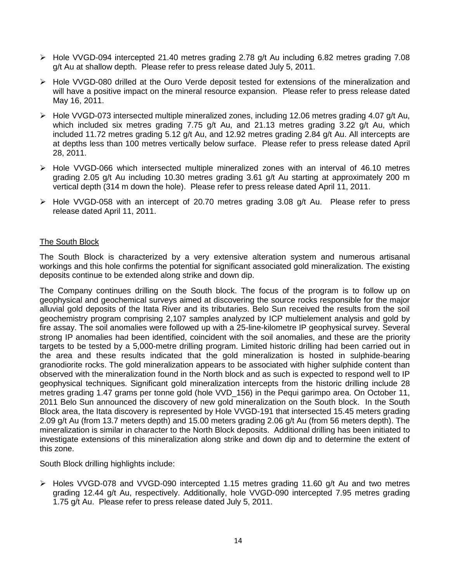- $\triangleright$  Hole VVGD-094 intercepted 21.40 metres grading 2.78 g/t Au including 6.82 metres grading 7.08 g/t Au at shallow depth. Please refer to press release dated July 5, 2011.
- Hole VVGD-080 drilled at the Ouro Verde deposit tested for extensions of the mineralization and will have a positive impact on the mineral resource expansion. Please refer to press release dated May 16, 2011.
- $\triangleright$  Hole VVGD-073 intersected multiple mineralized zones, including 12.06 metres grading 4.07 g/t Au, which included six metres grading 7.75 g/t Au, and 21.13 metres grading 3.22 g/t Au, which included 11.72 metres grading 5.12 g/t Au, and 12.92 metres grading 2.84 g/t Au. All intercepts are at depths less than 100 metres vertically below surface. Please refer to press release dated April 28, 2011.
- $\triangleright$  Hole VVGD-066 which intersected multiple mineralized zones with an interval of 46.10 metres grading 2.05 g/t Au including 10.30 metres grading 3.61 g/t Au starting at approximately 200 m vertical depth (314 m down the hole). Please refer to press release dated April 11, 2011.
- Hole VVGD-058 with an intercept of 20.70 metres grading 3.08 g/t Au. Please refer to press release dated April 11, 2011.

## The South Block

The South Block is characterized by a very extensive alteration system and numerous artisanal workings and this hole confirms the potential for significant associated gold mineralization. The existing deposits continue to be extended along strike and down dip.

The Company continues drilling on the South block. The focus of the program is to follow up on geophysical and geochemical surveys aimed at discovering the source rocks responsible for the major alluvial gold deposits of the Itata River and its tributaries. Belo Sun received the results from the soil geochemistry program comprising 2,107 samples analyzed by ICP multielement analysis and gold by fire assay. The soil anomalies were followed up with a 25-line-kilometre IP geophysical survey. Several strong IP anomalies had been identified, coincident with the soil anomalies, and these are the priority targets to be tested by a 5,000-metre drilling program. Limited historic drilling had been carried out in the area and these results indicated that the gold mineralization is hosted in sulphide-bearing granodiorite rocks. The gold mineralization appears to be associated with higher sulphide content than observed with the mineralization found in the North block and as such is expected to respond well to IP geophysical techniques. Significant gold mineralization intercepts from the historic drilling include 28 metres grading 1.47 grams per tonne gold (hole VVD 156) in the Pequi garimpo area. On October 11, 2011 Belo Sun announced the discovery of new gold mineralization on the South block. In the South Block area, the Itata discovery is represented by Hole VVGD-191 that intersected 15.45 meters grading 2.09 g/t Au (from 13.7 meters depth) and 15.00 meters grading 2.06 g/t Au (from 56 meters depth). The mineralization is similar in character to the North Block deposits. Additional drilling has been initiated to investigate extensions of this mineralization along strike and down dip and to determine the extent of this zone.

South Block drilling highlights include:

 $\triangleright$  Holes VVGD-078 and VVGD-090 intercepted 1.15 metres grading 11.60 g/t Au and two metres grading 12.44 g/t Au, respectively. Additionally, hole VVGD-090 intercepted 7.95 metres grading 1.75 g/t Au. Please refer to press release dated July 5, 2011.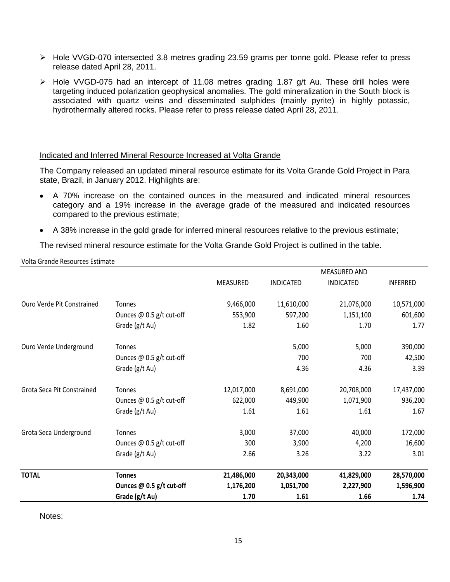- Hole VVGD-070 intersected 3.8 metres grading 23.59 grams per tonne gold. Please refer to press release dated April 28, 2011.
- Hole VVGD-075 had an intercept of 11.08 metres grading 1.87 g/t Au. These drill holes were targeting induced polarization geophysical anomalies. The gold mineralization in the South block is associated with quartz veins and disseminated sulphides (mainly pyrite) in highly potassic, hydrothermally altered rocks. Please refer to press release dated April 28, 2011.

### Indicated and Inferred Mineral Resource Increased at Volta Grande

The Company released an updated mineral resource estimate for its Volta Grande Gold Project in Para state, Brazil, in January 2012. Highlights are:

- A 70% increase on the contained ounces in the measured and indicated mineral resources category and a 19% increase in the average grade of the measured and indicated resources compared to the previous estimate;
- A 38% increase in the gold grade for inferred mineral resources relative to the previous estimate;

The revised mineral resource estimate for the Volta Grande Gold Project is outlined in the table.

Volta Grande Resources Estimate

|                            |                            |            |                  | <b>MEASURED AND</b> |                 |
|----------------------------|----------------------------|------------|------------------|---------------------|-----------------|
|                            |                            | MEASURED   | <b>INDICATED</b> | <b>INDICATED</b>    | <b>INFERRED</b> |
|                            |                            |            |                  |                     |                 |
| Ouro Verde Pit Constrained | <b>Tonnes</b>              | 9,466,000  | 11,610,000       | 21,076,000          | 10,571,000      |
|                            | Ounces $@$ 0.5 g/t cut-off | 553,900    | 597,200          | 1,151,100           | 601,600         |
|                            | Grade (g/t Au)             | 1.82       | 1.60             | 1.70                | 1.77            |
| Ouro Verde Underground     | <b>Tonnes</b>              |            | 5,000            | 5,000               | 390,000         |
|                            | Ounces $@$ 0.5 g/t cut-off |            | 700              | 700                 | 42,500          |
|                            | Grade (g/t Au)             |            | 4.36             | 4.36                | 3.39            |
| Grota Seca Pit Constrained | <b>Tonnes</b>              | 12,017,000 | 8,691,000        | 20,708,000          | 17,437,000      |
|                            | Ounces @ 0.5 g/t cut-off   | 622,000    | 449,900          | 1,071,900           | 936,200         |
|                            | Grade (g/t Au)             | 1.61       | 1.61             | 1.61                | 1.67            |
| Grota Seca Underground     | <b>Tonnes</b>              | 3,000      | 37,000           | 40,000              | 172,000         |
|                            | Ounces @ 0.5 g/t cut-off   | 300        | 3,900            | 4,200               | 16,600          |
|                            | Grade (g/t Au)             | 2.66       | 3.26             | 3.22                | 3.01            |
| <b>TOTAL</b>               | <b>Tonnes</b>              | 21,486,000 | 20,343,000       | 41,829,000          | 28,570,000      |
|                            | Ounces @ 0.5 g/t cut-off   | 1,176,200  | 1,051,700        | 2,227,900           | 1,596,900       |
|                            | Grade (g/t Au)             | 1.70       | 1.61             | 1.66                | 1.74            |

Notes: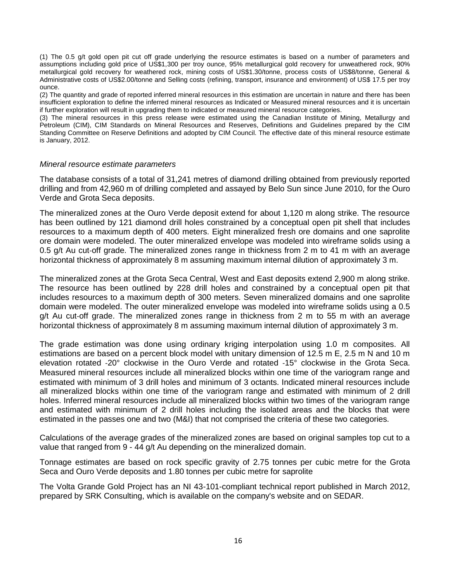(1) The 0.5 g/t gold open pit cut off grade underlying the resource estimates is based on a number of parameters and assumptions including gold price of US\$1,300 per troy ounce, 95% metallurgical gold recovery for unweathered rock, 90% metallurgical gold recovery for weathered rock, mining costs of US\$1.30/tonne, process costs of US\$8/tonne, General & Administrative costs of US\$2.00/tonne and Selling costs (refining, transport, insurance and environment) of US\$ 17.5 per troy ounce.

(2) The quantity and grade of reported inferred mineral resources in this estimation are uncertain in nature and there has been insufficient exploration to define the inferred mineral resources as Indicated or Measured mineral resources and it is uncertain if further exploration will result in upgrading them to indicated or measured mineral resource categories.

(3) The mineral resources in this press release were estimated using the Canadian Institute of Mining, Metallurgy and Petroleum (CIM), CIM Standards on Mineral Resources and Reserves, Definitions and Guidelines prepared by the CIM Standing Committee on Reserve Definitions and adopted by CIM Council. The effective date of this mineral resource estimate is January, 2012.

#### *Mineral resource estimate parameters*

The database consists of a total of 31,241 metres of diamond drilling obtained from previously reported drilling and from 42,960 m of drilling completed and assayed by Belo Sun since June 2010, for the Ouro Verde and Grota Seca deposits.

The mineralized zones at the Ouro Verde deposit extend for about 1,120 m along strike. The resource has been outlined by 121 diamond drill holes constrained by a conceptual open pit shell that includes resources to a maximum depth of 400 meters. Eight mineralized fresh ore domains and one saprolite ore domain were modeled. The outer mineralized envelope was modeled into wireframe solids using a 0.5 g/t Au cut-off grade. The mineralized zones range in thickness from 2 m to 41 m with an average horizontal thickness of approximately 8 m assuming maximum internal dilution of approximately 3 m.

The mineralized zones at the Grota Seca Central, West and East deposits extend 2,900 m along strike. The resource has been outlined by 228 drill holes and constrained by a conceptual open pit that includes resources to a maximum depth of 300 meters. Seven mineralized domains and one saprolite domain were modeled. The outer mineralized envelope was modeled into wireframe solids using a 0.5 g/t Au cut-off grade. The mineralized zones range in thickness from 2 m to 55 m with an average horizontal thickness of approximately 8 m assuming maximum internal dilution of approximately 3 m.

The grade estimation was done using ordinary kriging interpolation using 1.0 m composites. All estimations are based on a percent block model with unitary dimension of 12.5 m E, 2.5 m N and 10 m elevation rotated ‐20° clockwise in the Ouro Verde and rotated ‐15° clockwise in the Grota Seca. Measured mineral resources include all mineralized blocks within one time of the variogram range and estimated with minimum of 3 drill holes and minimum of 3 octants. Indicated mineral resources include all mineralized blocks within one time of the variogram range and estimated with minimum of 2 drill holes. Inferred mineral resources include all mineralized blocks within two times of the variogram range and estimated with minimum of 2 drill holes including the isolated areas and the blocks that were estimated in the passes one and two (M&I) that not comprised the criteria of these two categories.

Calculations of the average grades of the mineralized zones are based on original samples top cut to a value that ranged from 9 - 44 g/t Au depending on the mineralized domain.

Tonnage estimates are based on rock specific gravity of 2.75 tonnes per cubic metre for the Grota Seca and Ouro Verde deposits and 1.80 tonnes per cubic metre for saprolite

The Volta Grande Gold Project has an NI 43-101-compliant technical report published in March 2012, prepared by SRK Consulting, which is available on the company's website and on SEDAR.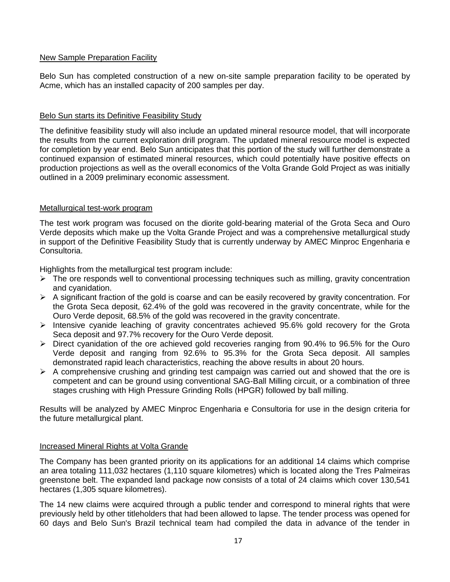# New Sample Preparation Facility

Belo Sun has completed construction of a new on-site sample preparation facility to be operated by Acme, which has an installed capacity of 200 samples per day.

# Belo Sun starts its Definitive Feasibility Study

The definitive feasibility study will also include an updated mineral resource model, that will incorporate the results from the current exploration drill program. The updated mineral resource model is expected for completion by year end. Belo Sun anticipates that this portion of the study will further demonstrate a continued expansion of estimated mineral resources, which could potentially have positive effects on production projections as well as the overall economics of the Volta Grande Gold Project as was initially outlined in a 2009 preliminary economic assessment.

# Metallurgical test-work program

The test work program was focused on the diorite gold-bearing material of the Grota Seca and Ouro Verde deposits which make up the Volta Grande Project and was a comprehensive metallurgical study in support of the Definitive Feasibility Study that is currently underway by AMEC Minproc Engenharia e Consultoria.

Highlights from the metallurgical test program include:

- $\triangleright$  The ore responds well to conventional processing techniques such as milling, gravity concentration and cyanidation.
- $\triangleright$  A significant fraction of the gold is coarse and can be easily recovered by gravity concentration. For the Grota Seca deposit, 62.4% of the gold was recovered in the gravity concentrate, while for the Ouro Verde deposit, 68.5% of the gold was recovered in the gravity concentrate.
- $\triangleright$  Intensive cyanide leaching of gravity concentrates achieved 95.6% gold recovery for the Grota Seca deposit and 97.7% recovery for the Ouro Verde deposit.
- $\triangleright$  Direct cyanidation of the ore achieved gold recoveries ranging from 90.4% to 96.5% for the Ouro Verde deposit and ranging from 92.6% to 95.3% for the Grota Seca deposit. All samples demonstrated rapid leach characteristics, reaching the above results in about 20 hours.
- $\triangleright$  A comprehensive crushing and grinding test campaign was carried out and showed that the ore is competent and can be ground using conventional SAG-Ball Milling circuit, or a combination of three stages crushing with High Pressure Grinding Rolls (HPGR) followed by ball milling.

Results will be analyzed by AMEC Minproc Engenharia e Consultoria for use in the design criteria for the future metallurgical plant.

# Increased Mineral Rights at Volta Grande

The Company has been granted priority on its applications for an additional 14 claims which comprise an area totaling 111,032 hectares (1,110 square kilometres) which is located along the Tres Palmeiras greenstone belt. The expanded land package now consists of a total of 24 claims which cover 130,541 hectares (1,305 square kilometres).

The 14 new claims were acquired through a public tender and correspond to mineral rights that were previously held by other titleholders that had been allowed to lapse. The tender process was opened for 60 days and Belo Sun's Brazil technical team had compiled the data in advance of the tender in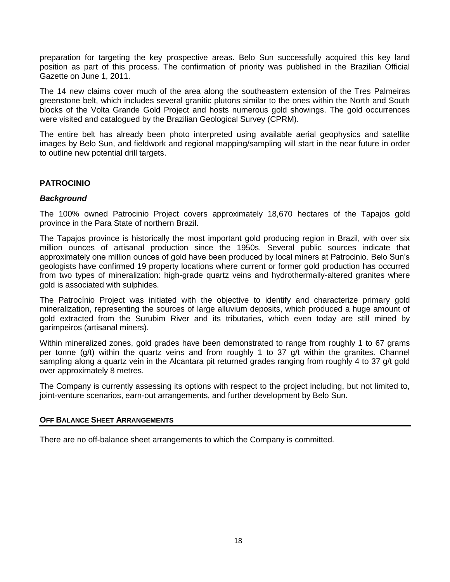preparation for targeting the key prospective areas. Belo Sun successfully acquired this key land position as part of this process. The confirmation of priority was published in the Brazilian Official Gazette on June 1, 2011.

The 14 new claims cover much of the area along the southeastern extension of the Tres Palmeiras greenstone belt, which includes several granitic plutons similar to the ones within the North and South blocks of the Volta Grande Gold Project and hosts numerous gold showings. The gold occurrences were visited and catalogued by the Brazilian Geological Survey (CPRM).

The entire belt has already been photo interpreted using available aerial geophysics and satellite images by Belo Sun, and fieldwork and regional mapping/sampling will start in the near future in order to outline new potential drill targets.

# **PATROCINIO**

### *Background*

The 100% owned Patrocinio Project covers approximately 18,670 hectares of the Tapajos gold province in the Para State of northern Brazil.

The Tapajos province is historically the most important gold producing region in Brazil, with over six million ounces of artisanal production since the 1950s. Several public sources indicate that approximately one million ounces of gold have been produced by local miners at Patrocinio. Belo Sun's geologists have confirmed 19 property locations where current or former gold production has occurred from two types of mineralization: high-grade quartz veins and hydrothermally-altered granites where gold is associated with sulphides.

The Patrocínio Project was initiated with the objective to identify and characterize primary gold mineralization, representing the sources of large alluvium deposits, which produced a huge amount of gold extracted from the Surubim River and its tributaries, which even today are still mined by garimpeiros (artisanal miners).

Within mineralized zones, gold grades have been demonstrated to range from roughly 1 to 67 grams per tonne (g/t) within the quartz veins and from roughly 1 to 37 g/t within the granites. Channel sampling along a quartz vein in the Alcantara pit returned grades ranging from roughly 4 to 37 g/t gold over approximately 8 metres.

The Company is currently assessing its options with respect to the project including, but not limited to, joint-venture scenarios, earn-out arrangements, and further development by Belo Sun.

### **OFF BALANCE SHEET ARRANGEMENTS**

There are no off-balance sheet arrangements to which the Company is committed.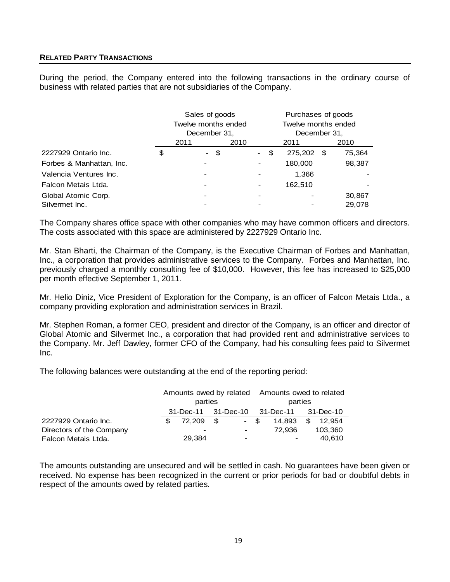## **RELATED PARTY TRANSACTIONS**

During the period, the Company entered into the following transactions in the ordinary course of business with related parties that are not subsidiaries of the Company.

|                          | Sales of goods |                          |      | Purchases of goods |                              |                     |         |      |        |
|--------------------------|----------------|--------------------------|------|--------------------|------------------------------|---------------------|---------|------|--------|
|                          |                | Twelve months ended      |      |                    |                              | Twelve months ended |         |      |        |
|                          |                | December 31,             |      |                    |                              | December 31,        |         |      |        |
|                          |                | 2011                     |      | 2010               |                              |                     | 2011    |      | 2010   |
| 2227929 Ontario Inc.     | \$             | $\sim$                   | - \$ |                    | $\sim$ $-$                   | \$                  | 275,202 | - \$ | 75,364 |
| Forbes & Manhattan, Inc. |                | $\overline{\phantom{a}}$ |      |                    | $\overline{\phantom{a}}$     |                     | 180,000 |      | 98,387 |
| Valencia Ventures Inc.   |                | $\overline{\phantom{a}}$ |      |                    | $\,$                         |                     | 1,366   |      |        |
| Falcon Metais Ltda.      |                |                          |      |                    | $\qquad \qquad \blacksquare$ |                     | 162,510 |      |        |
| Global Atomic Corp.      |                | $\overline{\phantom{0}}$ |      |                    | $\,$                         |                     |         |      | 30,867 |
| Silvermet Inc.           |                |                          |      |                    |                              |                     |         |      | 29.078 |

The Company shares office space with other companies who may have common officers and directors. The costs associated with this space are administered by 2227929 Ontario Inc.

Mr. Stan Bharti, the Chairman of the Company, is the Executive Chairman of Forbes and Manhattan, Inc., a corporation that provides administrative services to the Company. Forbes and Manhattan, Inc. previously charged a monthly consulting fee of \$10,000. However, this fee has increased to \$25,000 per month effective September 1, 2011.

Mr. Helio Diniz, Vice President of Exploration for the Company, is an officer of Falcon Metais Ltda., a company providing exploration and administration services in Brazil.

Mr. Stephen Roman, a former CEO, president and director of the Company, is an officer and director of Global Atomic and Silvermet Inc., a corporation that had provided rent and administrative services to the Company. Mr. Jeff Dawley, former CFO of the Company, had his consulting fees paid to Silvermet Inc.

The following balances were outstanding at the end of the reporting period:

|                          | Amounts owed by related Amounts owed to related |      |                          |         |                          |    |           |
|--------------------------|-------------------------------------------------|------|--------------------------|---------|--------------------------|----|-----------|
|                          | parties                                         |      |                          | parties |                          |    |           |
|                          | 31-Dec-11 31-Dec-10                             |      |                          |         | 31-Dec-11                |    | 31-Dec-10 |
| 2227929 Ontario Inc.     | 72.209                                          | - \$ | - \$                     |         | 14.893                   | \$ | 12.954    |
| Directors of the Company | $\,$                                            |      | $\sim$ 100 $\mu$         |         | 72.936                   |    | 103.360   |
| Falcon Metais Ltda.      | 29.384                                          |      | $\overline{\phantom{0}}$ |         | $\overline{\phantom{0}}$ |    | 40,610    |

The amounts outstanding are unsecured and will be settled in cash. No guarantees have been given or received. No expense has been recognized in the current or prior periods for bad or doubtful debts in respect of the amounts owed by related parties.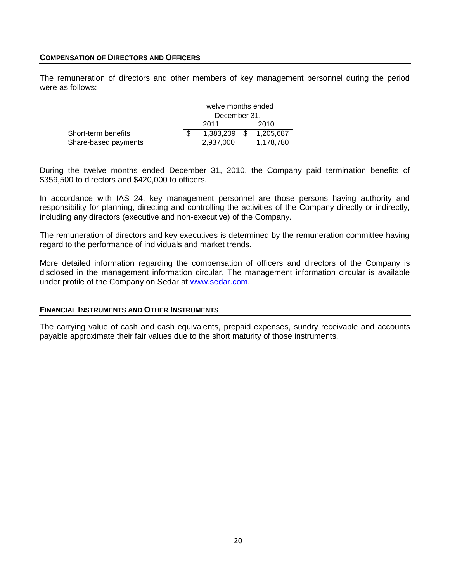#### **COMPENSATION OF DIRECTORS AND OFFICERS**

The remuneration of directors and other members of key management personnel during the period were as follows:

|                      | Twelve months ended |      |           |  |
|----------------------|---------------------|------|-----------|--|
|                      | December 31,        |      |           |  |
|                      | 2011                |      | 2010      |  |
| Short-term benefits  | 1.383.209           | - \$ | 1,205,687 |  |
| Share-based payments | 2.937.000           |      | 1,178,780 |  |

During the twelve months ended December 31, 2010, the Company paid termination benefits of \$359,500 to directors and \$420,000 to officers.

In accordance with IAS 24, key management personnel are those persons having authority and responsibility for planning, directing and controlling the activities of the Company directly or indirectly, including any directors (executive and non-executive) of the Company.

The remuneration of directors and key executives is determined by the remuneration committee having regard to the performance of individuals and market trends.

More detailed information regarding the compensation of officers and directors of the Company is disclosed in the management information circular. The management information circular is available under profile of the Company on Sedar at [www.sedar.com.](http://www.sedar.com/)

#### **FINANCIAL INSTRUMENTS AND OTHER INSTRUMENTS**

The carrying value of cash and cash equivalents, prepaid expenses, sundry receivable and accounts payable approximate their fair values due to the short maturity of those instruments.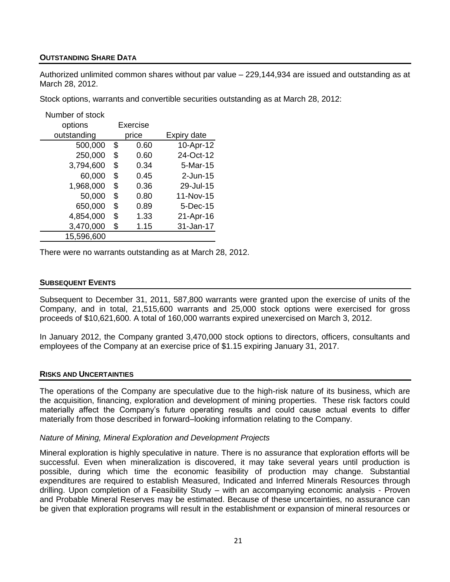## **OUTSTANDING SHARE DATA**

Authorized unlimited common shares without par value – 229,144,934 are issued and outstanding as at March 28, 2012.

Stock options, warrants and convertible securities outstanding as at March 28, 2012:

| Number of stock |            |             |
|-----------------|------------|-------------|
| options         | Exercise   |             |
| outstanding     | price      | Expiry date |
| 500,000         | \$<br>0.60 | 10-Apr-12   |
| 250,000         | \$<br>0.60 | 24-Oct-12   |
| 3,794,600       | \$<br>0.34 | 5-Mar-15    |
| 60,000          | \$<br>0.45 | $2$ -Jun-15 |
| 1,968,000       | \$<br>0.36 | 29-Jul-15   |
| 50,000          | \$<br>0.80 | 11-Nov-15   |
| 650,000         | \$<br>0.89 | 5-Dec-15    |
| 4,854,000       | \$<br>1.33 | 21-Apr-16   |
| 3,470,000       | \$<br>1.15 | 31-Jan-17   |
| 15,596,600      |            |             |

There were no warrants outstanding as at March 28, 2012.

### **SUBSEQUENT EVENTS**

Subsequent to December 31, 2011, 587,800 warrants were granted upon the exercise of units of the Company, and in total, 21,515,600 warrants and 25,000 stock options were exercised for gross proceeds of \$10,621,600. A total of 160,000 warrants expired unexercised on March 3, 2012.

In January 2012, the Company granted 3,470,000 stock options to directors, officers, consultants and employees of the Company at an exercise price of \$1.15 expiring January 31, 2017.

### **RISKS AND UNCERTAINTIES**

The operations of the Company are speculative due to the high-risk nature of its business, which are the acquisition, financing, exploration and development of mining properties. These risk factors could materially affect the Company's future operating results and could cause actual events to differ materially from those described in forward–looking information relating to the Company.

### *Nature of Mining, Mineral Exploration and Development Projects*

Mineral exploration is highly speculative in nature. There is no assurance that exploration efforts will be successful. Even when mineralization is discovered, it may take several years until production is possible, during which time the economic feasibility of production may change. Substantial expenditures are required to establish Measured, Indicated and Inferred Minerals Resources through drilling. Upon completion of a Feasibility Study – with an accompanying economic analysis - Proven and Probable Mineral Reserves may be estimated. Because of these uncertainties, no assurance can be given that exploration programs will result in the establishment or expansion of mineral resources or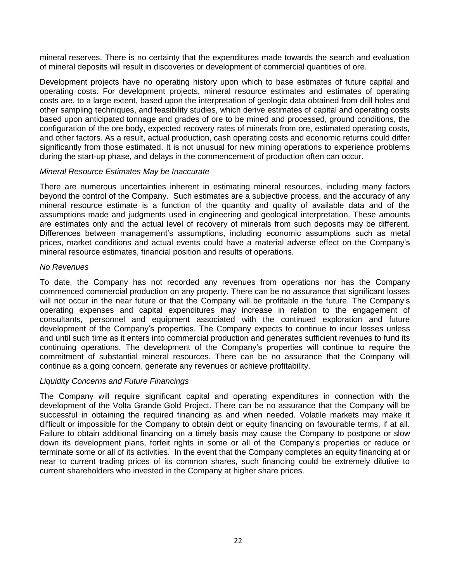mineral reserves. There is no certainty that the expenditures made towards the search and evaluation of mineral deposits will result in discoveries or development of commercial quantities of ore.

Development projects have no operating history upon which to base estimates of future capital and operating costs. For development projects, mineral resource estimates and estimates of operating costs are, to a large extent, based upon the interpretation of geologic data obtained from drill holes and other sampling techniques, and feasibility studies, which derive estimates of capital and operating costs based upon anticipated tonnage and grades of ore to be mined and processed, ground conditions, the configuration of the ore body, expected recovery rates of minerals from ore, estimated operating costs, and other factors. As a result, actual production, cash operating costs and economic returns could differ significantly from those estimated. It is not unusual for new mining operations to experience problems during the start-up phase, and delays in the commencement of production often can occur.

### *Mineral Resource Estimates May be Inaccurate*

There are numerous uncertainties inherent in estimating mineral resources, including many factors beyond the control of the Company. Such estimates are a subjective process, and the accuracy of any mineral resource estimate is a function of the quantity and quality of available data and of the assumptions made and judgments used in engineering and geological interpretation. These amounts are estimates only and the actual level of recovery of minerals from such deposits may be different. Differences between management's assumptions, including economic assumptions such as metal prices, market conditions and actual events could have a material adverse effect on the Company's mineral resource estimates, financial position and results of operations.

### *No Revenues*

To date, the Company has not recorded any revenues from operations nor has the Company commenced commercial production on any property. There can be no assurance that significant losses will not occur in the near future or that the Company will be profitable in the future. The Company's operating expenses and capital expenditures may increase in relation to the engagement of consultants, personnel and equipment associated with the continued exploration and future development of the Company's properties. The Company expects to continue to incur losses unless and until such time as it enters into commercial production and generates sufficient revenues to fund its continuing operations. The development of the Company's properties will continue to require the commitment of substantial mineral resources. There can be no assurance that the Company will continue as a going concern, generate any revenues or achieve profitability.

### *Liquidity Concerns and Future Financings*

The Company will require significant capital and operating expenditures in connection with the development of the Volta Grande Gold Project. There can be no assurance that the Company will be successful in obtaining the required financing as and when needed. Volatile markets may make it difficult or impossible for the Company to obtain debt or equity financing on favourable terms, if at all. Failure to obtain additional financing on a timely basis may cause the Company to postpone or slow down its development plans, forfeit rights in some or all of the Company's properties or reduce or terminate some or all of its activities. In the event that the Company completes an equity financing at or near to current trading prices of its common shares, such financing could be extremely dilutive to current shareholders who invested in the Company at higher share prices.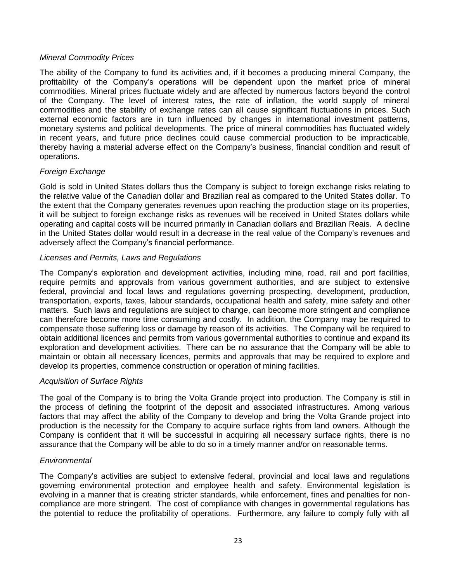## *Mineral Commodity Prices*

The ability of the Company to fund its activities and, if it becomes a producing mineral Company, the profitability of the Company's operations will be dependent upon the market price of mineral commodities. Mineral prices fluctuate widely and are affected by numerous factors beyond the control of the Company. The level of interest rates, the rate of inflation, the world supply of mineral commodities and the stability of exchange rates can all cause significant fluctuations in prices. Such external economic factors are in turn influenced by changes in international investment patterns, monetary systems and political developments. The price of mineral commodities has fluctuated widely in recent years, and future price declines could cause commercial production to be impracticable, thereby having a material adverse effect on the Company's business, financial condition and result of operations.

# *Foreign Exchange*

Gold is sold in United States dollars thus the Company is subject to foreign exchange risks relating to the relative value of the Canadian dollar and Brazilian real as compared to the United States dollar. To the extent that the Company generates revenues upon reaching the production stage on its properties, it will be subject to foreign exchange risks as revenues will be received in United States dollars while operating and capital costs will be incurred primarily in Canadian dollars and Brazilian Reais. A decline in the United States dollar would result in a decrease in the real value of the Company's revenues and adversely affect the Company's financial performance.

## *Licenses and Permits, Laws and Regulations*

The Company's exploration and development activities, including mine, road, rail and port facilities, require permits and approvals from various government authorities, and are subject to extensive federal, provincial and local laws and regulations governing prospecting, development, production, transportation, exports, taxes, labour standards, occupational health and safety, mine safety and other matters. Such laws and regulations are subject to change, can become more stringent and compliance can therefore become more time consuming and costly. In addition, the Company may be required to compensate those suffering loss or damage by reason of its activities. The Company will be required to obtain additional licences and permits from various governmental authorities to continue and expand its exploration and development activities. There can be no assurance that the Company will be able to maintain or obtain all necessary licences, permits and approvals that may be required to explore and develop its properties, commence construction or operation of mining facilities.

### *Acquisition of Surface Rights*

The goal of the Company is to bring the Volta Grande project into production. The Company is still in the process of defining the footprint of the deposit and associated infrastructures. Among various factors that may affect the ability of the Company to develop and bring the Volta Grande project into production is the necessity for the Company to acquire surface rights from land owners. Although the Company is confident that it will be successful in acquiring all necessary surface rights, there is no assurance that the Company will be able to do so in a timely manner and/or on reasonable terms.

### *Environmental*

The Company's activities are subject to extensive federal, provincial and local laws and regulations governing environmental protection and employee health and safety. Environmental legislation is evolving in a manner that is creating stricter standards, while enforcement, fines and penalties for noncompliance are more stringent. The cost of compliance with changes in governmental regulations has the potential to reduce the profitability of operations. Furthermore, any failure to comply fully with all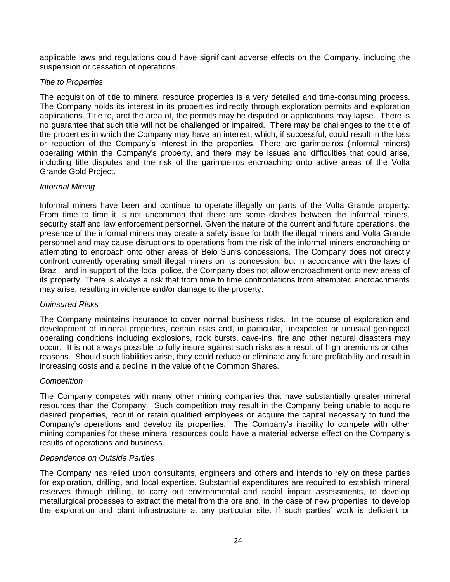applicable laws and regulations could have significant adverse effects on the Company, including the suspension or cessation of operations.

### *Title to Properties*

The acquisition of title to mineral resource properties is a very detailed and time-consuming process. The Company holds its interest in its properties indirectly through exploration permits and exploration applications. Title to, and the area of, the permits may be disputed or applications may lapse. There is no guarantee that such title will not be challenged or impaired. There may be challenges to the title of the properties in which the Company may have an interest, which, if successful, could result in the loss or reduction of the Company's interest in the properties. There are garimpeiros (informal miners) operating within the Company's property, and there may be issues and difficulties that could arise, including title disputes and the risk of the garimpeiros encroaching onto active areas of the Volta Grande Gold Project.

## *Informal Mining*

Informal miners have been and continue to operate illegally on parts of the Volta Grande property. From time to time it is not uncommon that there are some clashes between the informal miners, security staff and law enforcement personnel. Given the nature of the current and future operations, the presence of the informal miners may create a safety issue for both the illegal miners and Volta Grande personnel and may cause disruptions to operations from the risk of the informal miners encroaching or attempting to encroach onto other areas of Belo Sun's concessions. The Company does not directly confront currently operating small illegal miners on its concession, but in accordance with the laws of Brazil, and in support of the local police, the Company does not allow encroachment onto new areas of its property. There is always a risk that from time to time confrontations from attempted encroachments may arise, resulting in violence and/or damage to the property.

### *Uninsured Risks*

The Company maintains insurance to cover normal business risks. In the course of exploration and development of mineral properties, certain risks and, in particular, unexpected or unusual geological operating conditions including explosions, rock bursts, cave-ins, fire and other natural disasters may occur. It is not always possible to fully insure against such risks as a result of high premiums or other reasons. Should such liabilities arise, they could reduce or eliminate any future profitability and result in increasing costs and a decline in the value of the Common Shares.

### *Competition*

The Company competes with many other mining companies that have substantially greater mineral resources than the Company. Such competition may result in the Company being unable to acquire desired properties, recruit or retain qualified employees or acquire the capital necessary to fund the Company's operations and develop its properties. The Company's inability to compete with other mining companies for these mineral resources could have a material adverse effect on the Company's results of operations and business.

### *Dependence on Outside Parties*

The Company has relied upon consultants, engineers and others and intends to rely on these parties for exploration, drilling, and local expertise. Substantial expenditures are required to establish mineral reserves through drilling, to carry out environmental and social impact assessments, to develop metallurgical processes to extract the metal from the ore and, in the case of new properties, to develop the exploration and plant infrastructure at any particular site. If such parties' work is deficient or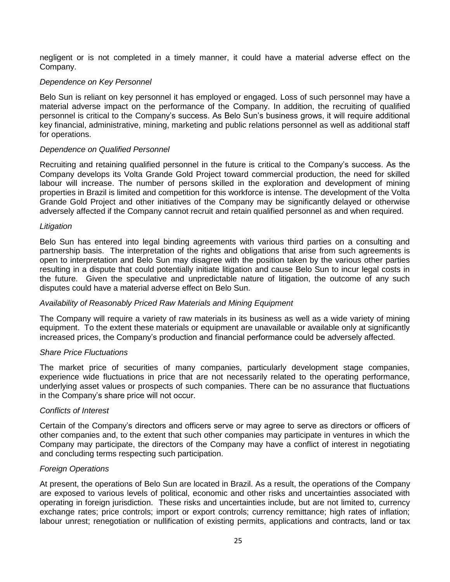negligent or is not completed in a timely manner, it could have a material adverse effect on the Company.

### *Dependence on Key Personnel*

Belo Sun is reliant on key personnel it has employed or engaged. Loss of such personnel may have a material adverse impact on the performance of the Company. In addition, the recruiting of qualified personnel is critical to the Company's success. As Belo Sun's business grows, it will require additional key financial, administrative, mining, marketing and public relations personnel as well as additional staff for operations.

### *Dependence on Qualified Personnel*

Recruiting and retaining qualified personnel in the future is critical to the Company's success. As the Company develops its Volta Grande Gold Project toward commercial production, the need for skilled labour will increase. The number of persons skilled in the exploration and development of mining properties in Brazil is limited and competition for this workforce is intense. The development of the Volta Grande Gold Project and other initiatives of the Company may be significantly delayed or otherwise adversely affected if the Company cannot recruit and retain qualified personnel as and when required.

### *Litigation*

Belo Sun has entered into legal binding agreements with various third parties on a consulting and partnership basis. The interpretation of the rights and obligations that arise from such agreements is open to interpretation and Belo Sun may disagree with the position taken by the various other parties resulting in a dispute that could potentially initiate litigation and cause Belo Sun to incur legal costs in the future. Given the speculative and unpredictable nature of litigation, the outcome of any such disputes could have a material adverse effect on Belo Sun.

### *Availability of Reasonably Priced Raw Materials and Mining Equipment*

The Company will require a variety of raw materials in its business as well as a wide variety of mining equipment. To the extent these materials or equipment are unavailable or available only at significantly increased prices, the Company's production and financial performance could be adversely affected.

### *Share Price Fluctuations*

The market price of securities of many companies, particularly development stage companies, experience wide fluctuations in price that are not necessarily related to the operating performance, underlying asset values or prospects of such companies. There can be no assurance that fluctuations in the Company's share price will not occur.

### *Conflicts of Interest*

Certain of the Company's directors and officers serve or may agree to serve as directors or officers of other companies and, to the extent that such other companies may participate in ventures in which the Company may participate, the directors of the Company may have a conflict of interest in negotiating and concluding terms respecting such participation.

### *Foreign Operations*

At present, the operations of Belo Sun are located in Brazil. As a result, the operations of the Company are exposed to various levels of political, economic and other risks and uncertainties associated with operating in foreign jurisdiction. These risks and uncertainties include, but are not limited to, currency exchange rates; price controls; import or export controls; currency remittance; high rates of inflation; labour unrest; renegotiation or nullification of existing permits, applications and contracts, land or tax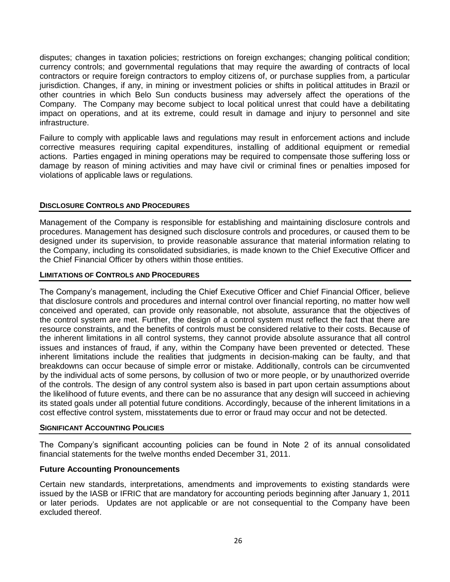disputes; changes in taxation policies; restrictions on foreign exchanges; changing political condition; currency controls; and governmental regulations that may require the awarding of contracts of local contractors or require foreign contractors to employ citizens of, or purchase supplies from, a particular jurisdiction. Changes, if any, in mining or investment policies or shifts in political attitudes in Brazil or other countries in which Belo Sun conducts business may adversely affect the operations of the Company. The Company may become subject to local political unrest that could have a debilitating impact on operations, and at its extreme, could result in damage and injury to personnel and site infrastructure.

Failure to comply with applicable laws and regulations may result in enforcement actions and include corrective measures requiring capital expenditures, installing of additional equipment or remedial actions. Parties engaged in mining operations may be required to compensate those suffering loss or damage by reason of mining activities and may have civil or criminal fines or penalties imposed for violations of applicable laws or regulations.

## **DISCLOSURE CONTROLS AND PROCEDURES**

Management of the Company is responsible for establishing and maintaining disclosure controls and procedures. Management has designed such disclosure controls and procedures, or caused them to be designed under its supervision, to provide reasonable assurance that material information relating to the Company, including its consolidated subsidiaries, is made known to the Chief Executive Officer and the Chief Financial Officer by others within those entities.

### **LIMITATIONS OF CONTROLS AND PROCEDURES**

The Company's management, including the Chief Executive Officer and Chief Financial Officer, believe that disclosure controls and procedures and internal control over financial reporting, no matter how well conceived and operated, can provide only reasonable, not absolute, assurance that the objectives of the control system are met. Further, the design of a control system must reflect the fact that there are resource constraints, and the benefits of controls must be considered relative to their costs. Because of the inherent limitations in all control systems, they cannot provide absolute assurance that all control issues and instances of fraud, if any, within the Company have been prevented or detected. These inherent limitations include the realities that judgments in decision-making can be faulty, and that breakdowns can occur because of simple error or mistake. Additionally, controls can be circumvented by the individual acts of some persons, by collusion of two or more people, or by unauthorized override of the controls. The design of any control system also is based in part upon certain assumptions about the likelihood of future events, and there can be no assurance that any design will succeed in achieving its stated goals under all potential future conditions. Accordingly, because of the inherent limitations in a cost effective control system, misstatements due to error or fraud may occur and not be detected.

### **SIGNIFICANT ACCOUNTING POLICIES**

The Company's significant accounting policies can be found in Note 2 of its annual consolidated financial statements for the twelve months ended December 31, 2011.

### **Future Accounting Pronouncements**

Certain new standards, interpretations, amendments and improvements to existing standards were issued by the IASB or IFRIC that are mandatory for accounting periods beginning after January 1, 2011 or later periods. Updates are not applicable or are not consequential to the Company have been excluded thereof.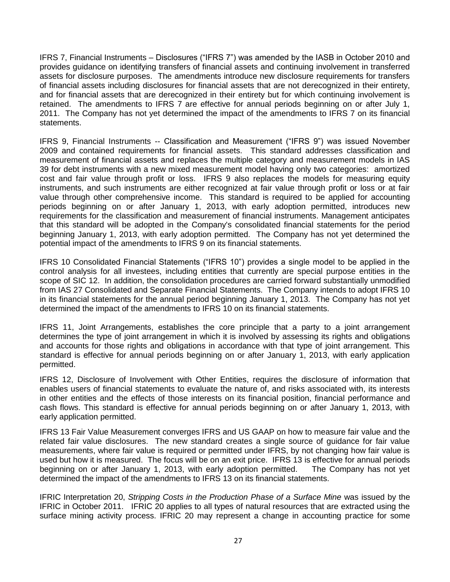IFRS 7, Financial Instruments – Disclosures ("IFRS 7") was amended by the IASB in October 2010 and provides guidance on identifying transfers of financial assets and continuing involvement in transferred assets for disclosure purposes. The amendments introduce new disclosure requirements for transfers of financial assets including disclosures for financial assets that are not derecognized in their entirety, and for financial assets that are derecognized in their entirety but for which continuing involvement is retained. The amendments to IFRS 7 are effective for annual periods beginning on or after July 1, 2011. The Company has not yet determined the impact of the amendments to IFRS 7 on its financial statements.

IFRS 9, Financial Instruments -- Classification and Measurement ("IFRS 9") was issued November 2009 and contained requirements for financial assets. This standard addresses classification and measurement of financial assets and replaces the multiple category and measurement models in IAS 39 for debt instruments with a new mixed measurement model having only two categories: amortized cost and fair value through profit or loss. IFRS 9 also replaces the models for measuring equity instruments, and such instruments are either recognized at fair value through profit or loss or at fair value through other comprehensive income. This standard is required to be applied for accounting periods beginning on or after January 1, 2013, with early adoption permitted, introduces new requirements for the classification and measurement of financial instruments. Management anticipates that this standard will be adopted in the Company's consolidated financial statements for the period beginning January 1, 2013, with early adoption permitted. The Company has not yet determined the potential impact of the amendments to IFRS 9 on its financial statements.

IFRS 10 Consolidated Financial Statements ("IFRS 10") provides a single model to be applied in the control analysis for all investees, including entities that currently are special purpose entities in the scope of SIC 12. In addition, the consolidation procedures are carried forward substantially unmodified from IAS 27 Consolidated and Separate Financial Statements. The Company intends to adopt IFRS 10 in its financial statements for the annual period beginning January 1, 2013. The Company has not yet determined the impact of the amendments to IFRS 10 on its financial statements.

IFRS 11, Joint Arrangements, establishes the core principle that a party to a joint arrangement determines the type of joint arrangement in which it is involved by assessing its rights and obligations and accounts for those rights and obligations in accordance with that type of joint arrangement. This standard is effective for annual periods beginning on or after January 1, 2013, with early application permitted.

IFRS 12, Disclosure of Involvement with Other Entities, requires the disclosure of information that enables users of financial statements to evaluate the nature of, and risks associated with, its interests in other entities and the effects of those interests on its financial position, financial performance and cash flows. This standard is effective for annual periods beginning on or after January 1, 2013, with early application permitted.

IFRS 13 Fair Value Measurement converges IFRS and US GAAP on how to measure fair value and the related fair value disclosures. The new standard creates a single source of guidance for fair value measurements, where fair value is required or permitted under IFRS, by not changing how fair value is used but how it is measured. The focus will be on an exit price. IFRS 13 is effective for annual periods beginning on or after January 1, 2013, with early adoption permitted. The Company has not yet determined the impact of the amendments to IFRS 13 on its financial statements.

IFRIC Interpretation 20, *Stripping Costs in the Production Phase of a Surface Mine* was issued by the IFRIC in October 2011. IFRIC 20 applies to all types of natural resources that are extracted using the surface mining activity process. IFRIC 20 may represent a change in accounting practice for some